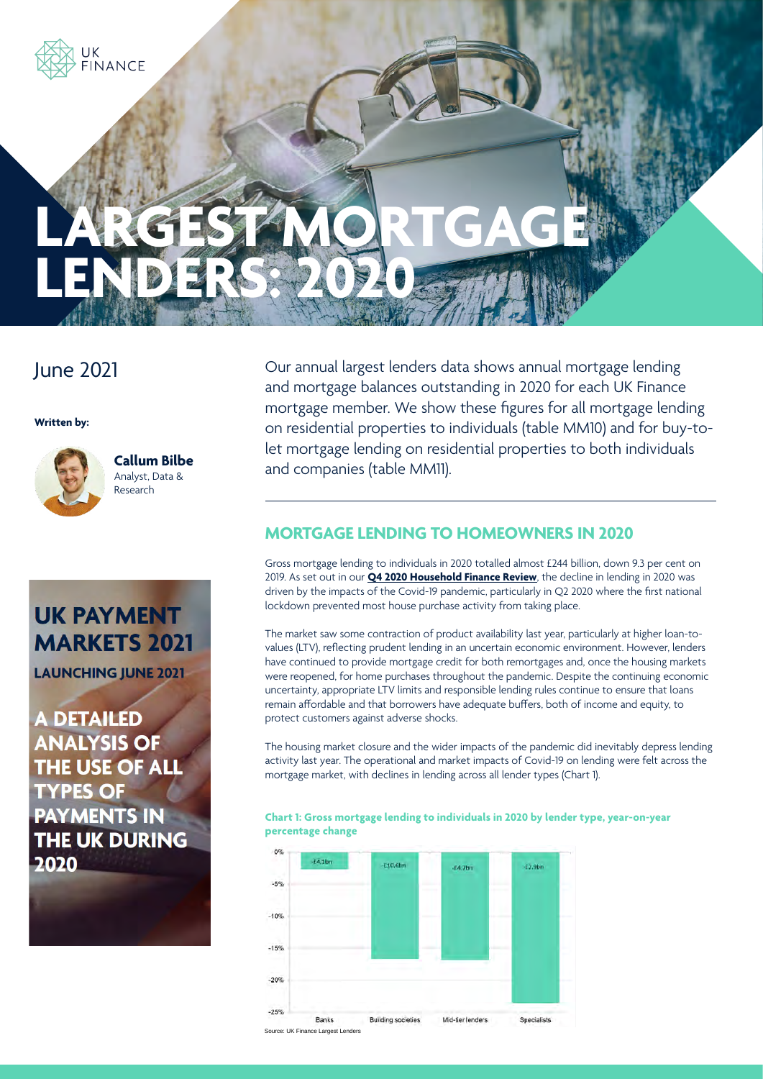

# June 2021

**Written by:**



**Callum Bilbe** Analyst, Data & Research

**UK PAYMENT MARKETS 2021** 

**LAUNCHING JUNE 2021** 

**A DETAILED ANALYSIS OF** THE USE OF ALL **TYPES OF PAYMENTS IN THE UK DURING** 2020

Our annual largest lenders data shows annual mortgage lending and mortgage balances outstanding in 2020 for each UK Finance mortgage member. We show these figures for all mortgage lending on residential properties to individuals (table MM10) and for buy-tolet mortgage lending on residential properties to both individuals and companies (table MM11).

# **MORTGAGE LENDING TO HOMEOWNERS IN 2020**

Gross mortgage lending to individuals in 2020 totalled almost £244 billion, down 9.3 per cent on 2019. As set out in our **[Q4 2020 Household Finance Review](https://www.ukfinance.org.uk/sites/default/files/uploads/Data%20(XLS%20and%20PDF)/Household-Finance-Review-2020-Q4-FINAL.pdf)**, the decline in lending in 2020 was driven by the impacts of the Covid-19 pandemic, particularly in Q2 2020 where the first national lockdown prevented most house purchase activity from taking place.

The market saw some contraction of product availability last year, particularly at higher loan-tovalues (LTV), reflecting prudent lending in an uncertain economic environment. However, lenders have continued to provide mortgage credit for both remortgages and, once the housing markets were reopened, for home purchases throughout the pandemic. Despite the continuing economic uncertainty, appropriate LTV limits and responsible lending rules continue to ensure that loans remain affordable and that borrowers have adequate buffers, both of income and equity, to protect customers against adverse shocks.

The housing market closure and the wider impacts of the pandemic did inevitably depress lending activity last year. The operational and market impacts of Covid-19 on lending were felt across the mortgage market, with declines in lending across all lender types (Chart 1).

**Chart 1: Gross mortgage lending to individuals in 2020 by lender type, year-on-year percentage change**

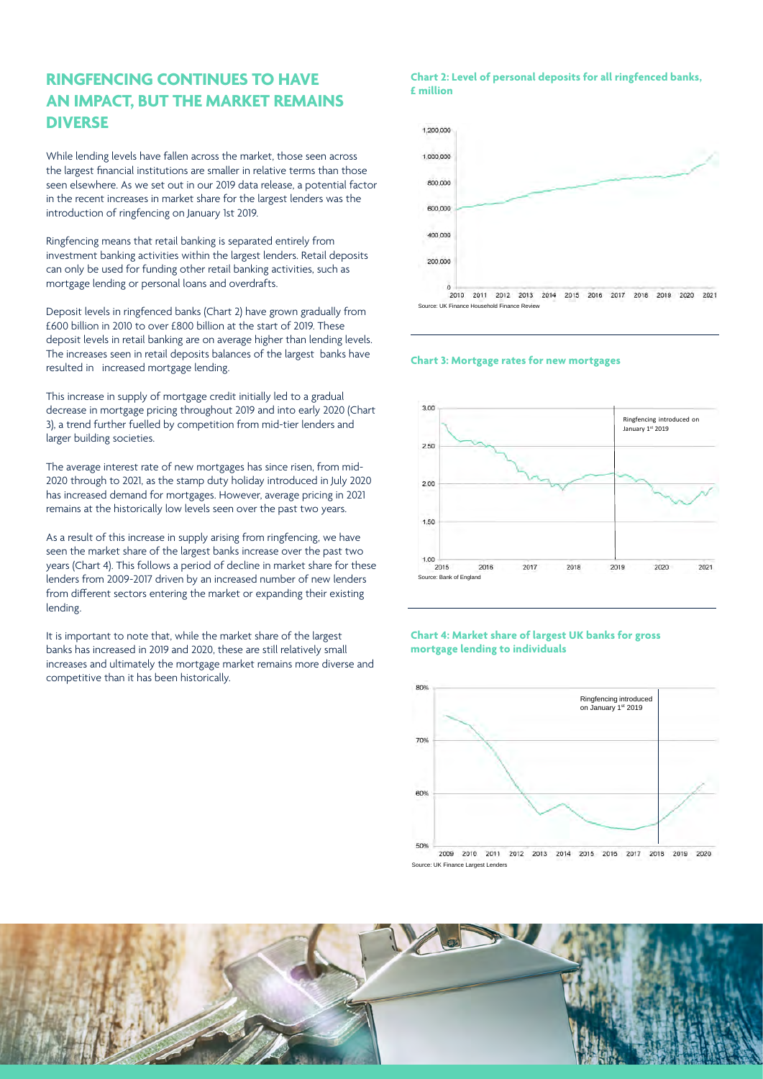## **RINGFENCING CONTINUES TO HAVE AN IMPACT, BUT THE MARKET REMAINS DIVERSE**

While lending levels have fallen across the market, those seen across the largest financial institutions are smaller in relative terms than those seen elsewhere. As we set out in our 2019 data release, a potential factor in the recent increases in market share for the largest lenders was the introduction of ringfencing on January 1st 2019.

Ringfencing means that retail banking is separated entirely from investment banking activities within the largest lenders. Retail deposits can only be used for funding other retail banking activities, such as mortgage lending or personal loans and overdrafts.

Deposit levels in ringfenced banks (Chart 2) have grown gradually from £600 billion in 2010 to over £800 billion at the start of 2019. These deposit levels in retail banking are on average higher than lending levels. The increases seen in retail deposits balances of the largest banks have resulted in increased mortgage lending.

This increase in supply of mortgage credit initially led to a gradual decrease in mortgage pricing throughout 2019 and into early 2020 (Chart 3), a trend further fuelled by competition from mid-tier lenders and larger building societies.

The average interest rate of new mortgages has since risen, from mid-2020 through to 2021, as the stamp duty holiday introduced in July 2020 has increased demand for mortgages. However, average pricing in 2021 remains at the historically low levels seen over the past two years.

As a result of this increase in supply arising from ringfencing, we have seen the market share of the largest banks increase over the past two years (Chart 4). This follows a period of decline in market share for these lenders from 2009-2017 driven by an increased number of new lenders from different sectors entering the market or expanding their existing lending.

It is important to note that, while the market share of the largest banks has increased in 2019 and 2020, these are still relatively small increases and ultimately the mortgage market remains more diverse and competitive than it has been historically.

#### **Chart 2: Level of personal deposits for all ringfenced banks, £ million**



throughout 2019 and into early 2020 (Chart 3), a trend further fuelled by competition from mid-tier

#### **Chart 3: Mortgage rates for new mortgages**



share for these lenders from 2009-2017 driven by an increased number of new lenders from different

#### Chart 4: Market share of largest UK banks for gross 2020, these are still relatively small increases and ultimately the mortgage market remains more diverse and competitive than it has been historically. **mortgage lending to individuals**



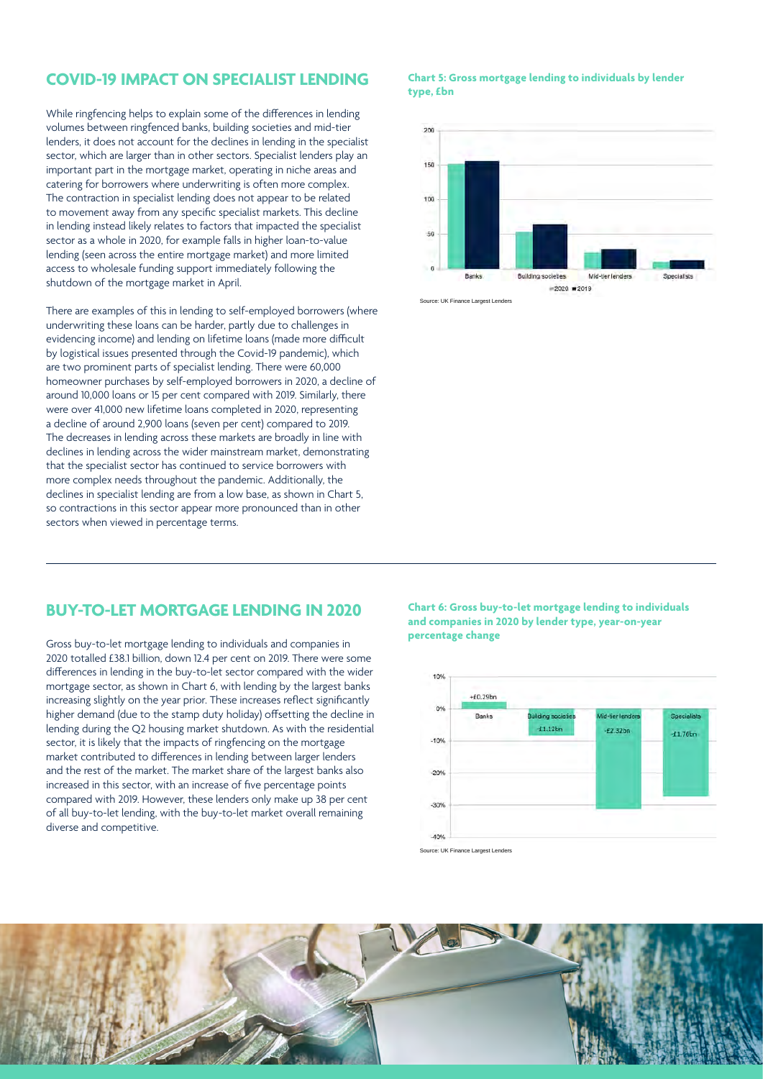### **COVID-19 IMPACT ON SPECIALIST LENDING**

While ringfencing helps to explain some of the differences in lending volumes between ringfenced banks, building societies and mid-tier lenders, it does not account for the declines in lending in the specialist sector, which are larger than in other sectors. Specialist lenders play an important part in the mortgage market, operating in niche areas and catering for borrowers where underwriting is often more complex. The contraction in specialist lending does not appear to be related to movement away from any specific specialist markets. This decline in lending instead likely relates to factors that impacted the specialist sector as a whole in 2020, for example falls in higher loan-to-value lending (seen across the entire mortgage market) and more limited access to wholesale funding support immediately following the shutdown of the mortgage market in April.

There are examples of this in lending to self-employed borrowers (where underwriting these loans can be harder, partly due to challenges in evidencing income) and lending on lifetime loans (made more difficult by logistical issues presented through the Covid-19 pandemic), which are two prominent parts of specialist lending. There were 60,000 homeowner purchases by self-employed borrowers in 2020, a decline of around 10,000 loans or 15 per cent compared with 2019. Similarly, there were over 41,000 new lifetime loans completed in 2020, representing a decline of around 2,900 loans (seven per cent) compared to 2019. The decreases in lending across these markets are broadly in line with declines in lending across the wider mainstream market, demonstrating that the specialist sector has continued to service borrowers with more complex needs throughout the pandemic. Additionally, the declines in specialist lending are from a low base, as shown in Chart 5, so contractions in this sector appear more pronounced than in other sectors when viewed in percentage terms.

#### **Chart 5: Gross mortgage lending to individuals by lender type, £bn**



### **BUY-TO-LET MORTGAGE LENDING IN 2020**

Gross buy-to-let mortgage lending to individuals and companies in 2020 totalled £38.1 billion, down 12.4 per cent on 2019. There were some differences in lending in the buy-to-let sector compared with the wider mortgage sector, as shown in Chart 6, with lending by the largest banks increasing slightly on the year prior. These increases reflect significantly higher demand (due to the stamp duty holiday) offsetting the decline in lending during the Q2 housing market shutdown. As with the residential sector, it is likely that the impacts of ringfencing on the mortgage market contributed to differences in lending between larger lenders and the rest of the market. The market share of the largest banks also increased in this sector, with an increase of five percentage points compared with 2019. However, these lenders only make up 38 per cent of all buy-to-let lending, with the buy-to-let market overall remaining diverse and competitive.

**Chart 6: Gross buy-to-let mortgage lending to individuals and companies in 2020 by lender type, year-on-year percentage change**



Source: UK Finance Largest Lenders